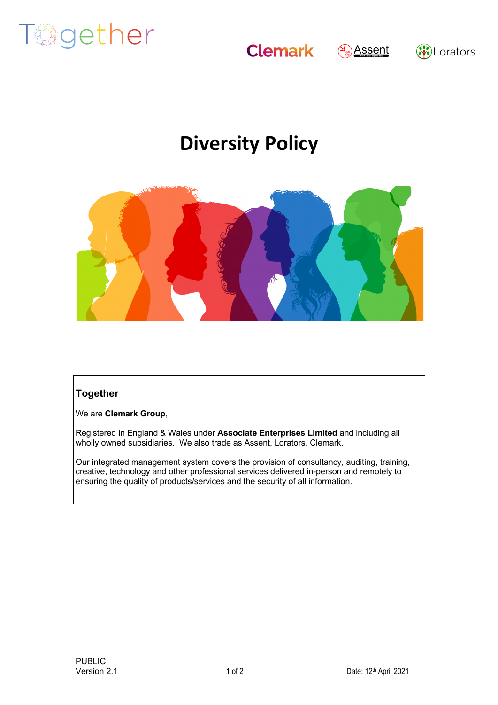

**Clemark** 



## (※)Lorators

## **Diversity Policy**



## **Together**

We are **Clemark Group**,

Registered in England & Wales under **Associate Enterprises Limited** and including all wholly owned subsidiaries. We also trade as Assent, Lorators, Clemark.

Our integrated management system covers the provision of consultancy, auditing, training, creative, technology and other professional services delivered in-person and remotely to ensuring the quality of products/services and the security of all information.